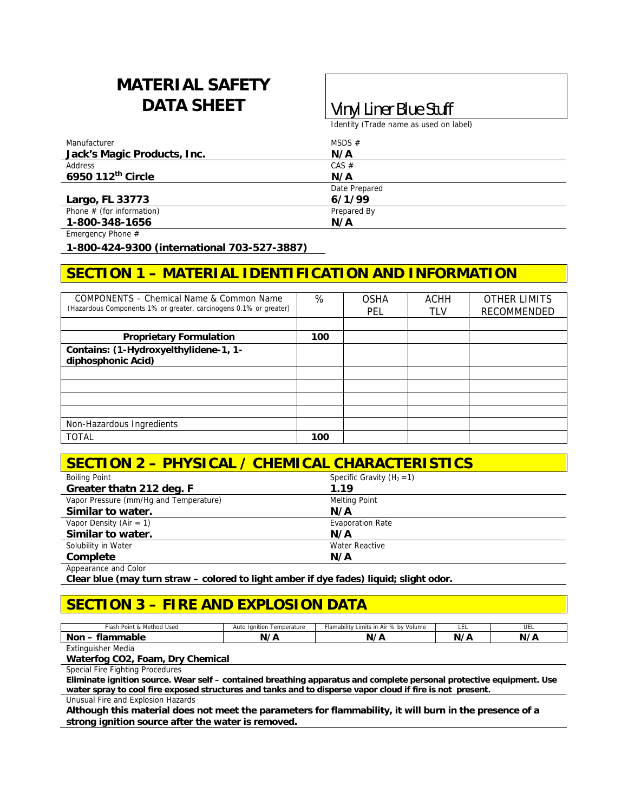# **MATERIAL SAFETY DATA SHEET Vinyl Liner Blue Stuff**

Identity (Trade name as used on label)

| Manufacturer                | MSDS $#$      |  |
|-----------------------------|---------------|--|
| Jack's Magic Products, Inc. | N/A           |  |
| Address                     | CAS #         |  |
| 6950 112th Circle           | N/A           |  |
|                             | Date Prepared |  |
| Largo, FL 33773             | 6/1/99        |  |
| Phone $#$ (for information) | Prepared By   |  |
| 1-800-348-1656              | N/A           |  |

Emergency Phone #

**1-800-424-9300 (international 703-527-3887)** 

## **SECTION 1 – MATERIAL IDENTIFICATION AND INFORMATION**

| COMPONENTS - Chemical Name & Common Name<br>(Hazardous Components 1% or greater, carcinogens 0.1% or greater) | %   | <b>OSHA</b><br>PEL | ACHH<br><b>TLV</b> | <b>OTHER LIMITS</b><br><b>RECOMMENDED</b> |
|---------------------------------------------------------------------------------------------------------------|-----|--------------------|--------------------|-------------------------------------------|
|                                                                                                               |     |                    |                    |                                           |
| <b>Proprietary Formulation</b>                                                                                | 100 |                    |                    |                                           |
| Contains: (1-Hydroxyelthylidene-1, 1-<br>diphosphonic Acid)                                                   |     |                    |                    |                                           |
|                                                                                                               |     |                    |                    |                                           |
|                                                                                                               |     |                    |                    |                                           |
|                                                                                                               |     |                    |                    |                                           |
|                                                                                                               |     |                    |                    |                                           |
| Non-Hazardous Ingredients                                                                                     |     |                    |                    |                                           |
| <b>TOTAL</b>                                                                                                  | 100 |                    |                    |                                           |

#### **SECTION 2 – PHYSICAL / CHEMICAL CHARACTERISTICS**

| <b>Boiling Point</b>                   | Specific Gravity $(H_2 = 1)$ |  |
|----------------------------------------|------------------------------|--|
| Greater thatn 212 deg. F               | 1.19                         |  |
| Vapor Pressure (mm/Hg and Temperature) | <b>Melting Point</b>         |  |
| Similar to water.                      | N/A                          |  |
| Vapor Density (Air = $1$ )             | <b>Evaporation Rate</b>      |  |
| Similar to water.                      | N/A                          |  |
| Solubility in Water                    | Water Reactive               |  |
| Complete                               | N/A                          |  |
| Appearance and Color                   |                              |  |

**Clear blue (may turn straw – colored to light amber if dye fades) liquid; slight odor.** 

## **SECTION 3 – FIRE AND EXPLOSION DATA**

| ™lash<br><b>BB</b><br>Method Used<br>ੇ Point & | Temperature<br>lanition<br>Auto | Flamability<br>$%$ by<br>$\cdots$<br>Volume<br>Limits<br>in Air د | --- | .<br>◡└ |
|------------------------------------------------|---------------------------------|-------------------------------------------------------------------|-----|---------|
| nmable<br>Non<br>⋯                             | $\overline{\phantom{a}}$<br>N   | N                                                                 | N.  |         |
| __                                             |                                 |                                                                   |     |         |

Extinguisher Media

**Waterfog CO2, Foam, Dry Chemical** 

Special Fire Fighting Procedures

**Eliminate ignition source. Wear self – contained breathing apparatus and complete personal protective equipment. Use water spray to cool fire exposed structures and tanks and to disperse vapor cloud if fire is not present.** 

Unusual Fire and Explosion Hazards

**Although this material does not meet the parameters for flammability, it will burn in the presence of a strong ignition source after the water is removed.**